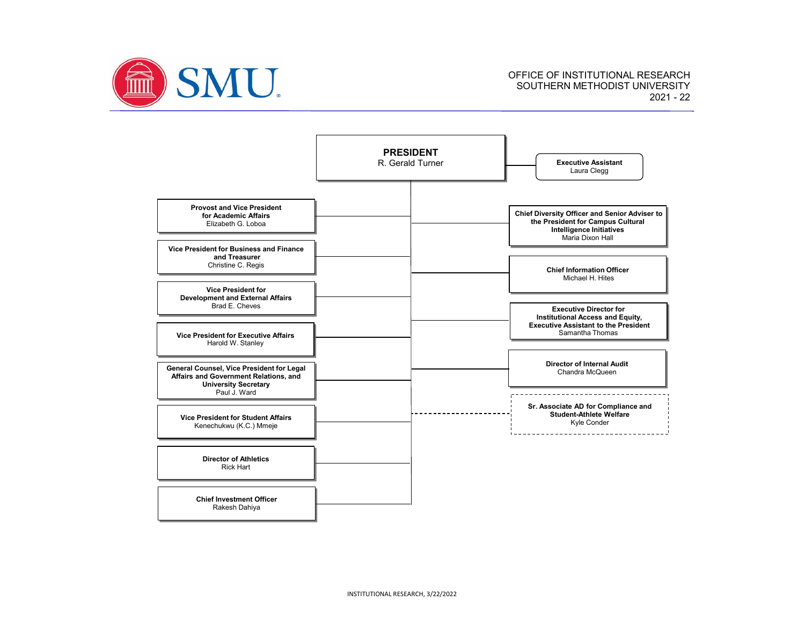

OFFICE OF INSTITUTIONAL RESEARCH SOUTHERN METHODIST UNIVERSITY 2021 - 22

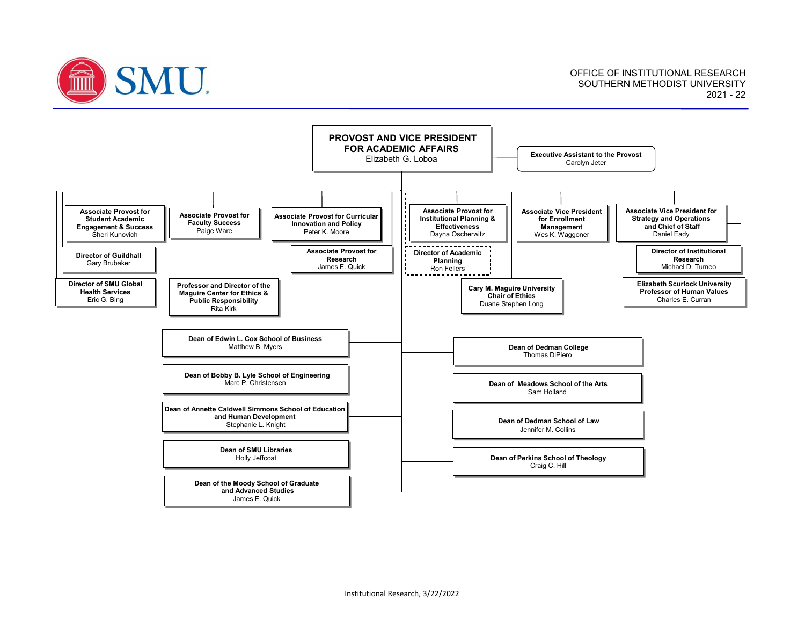

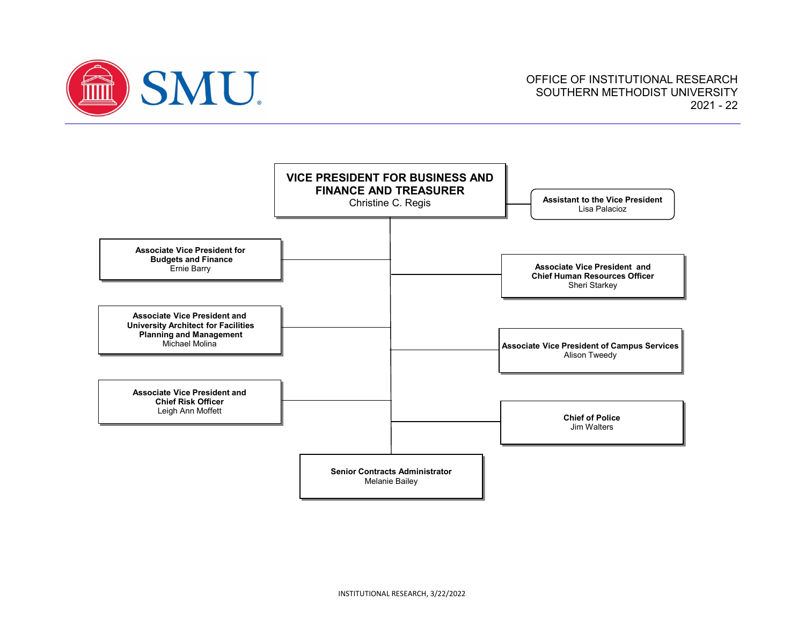

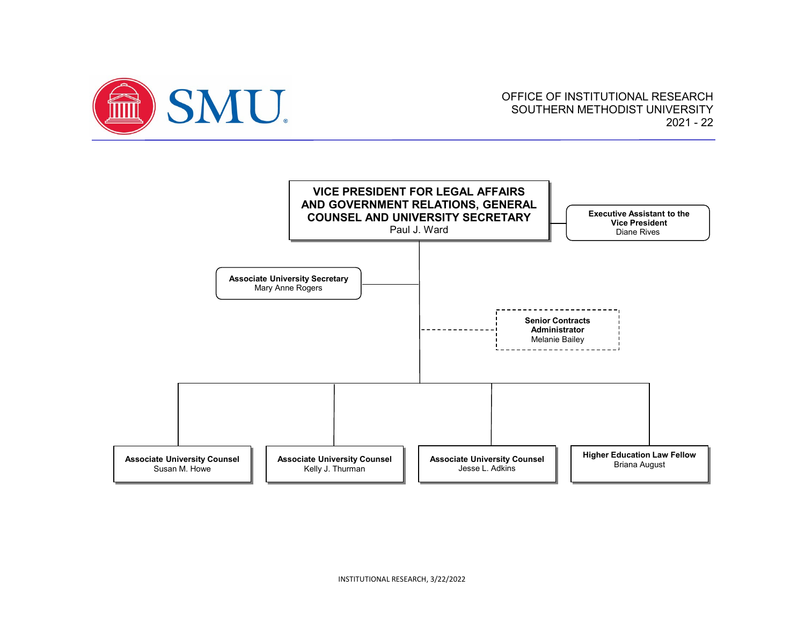

## OFFICE OF INSTITUTIONAL RESEARCH SOUTHERN METHODIST UNIVERSITY 2021 - 22

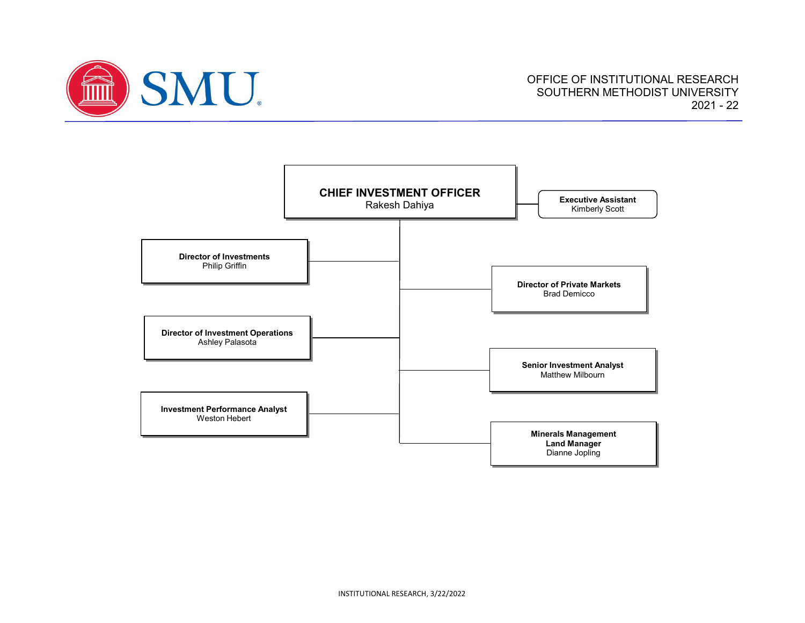

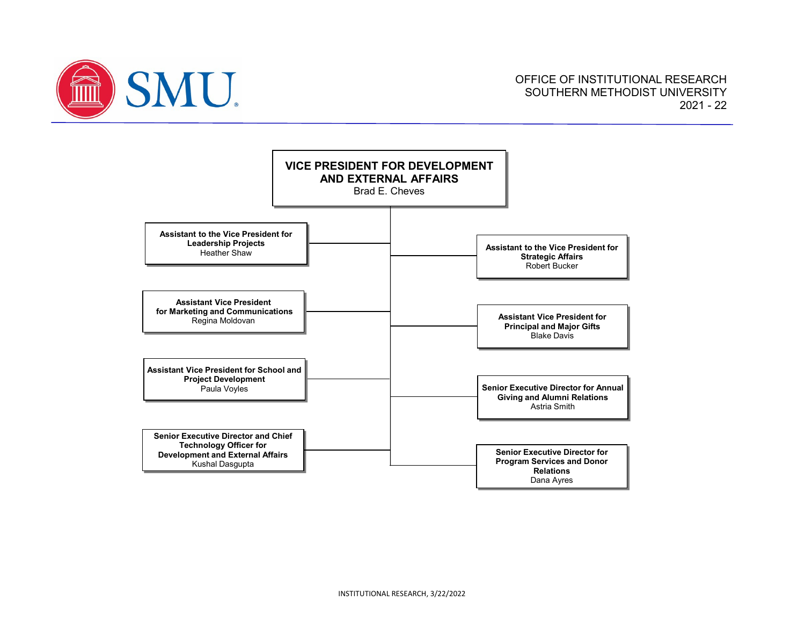

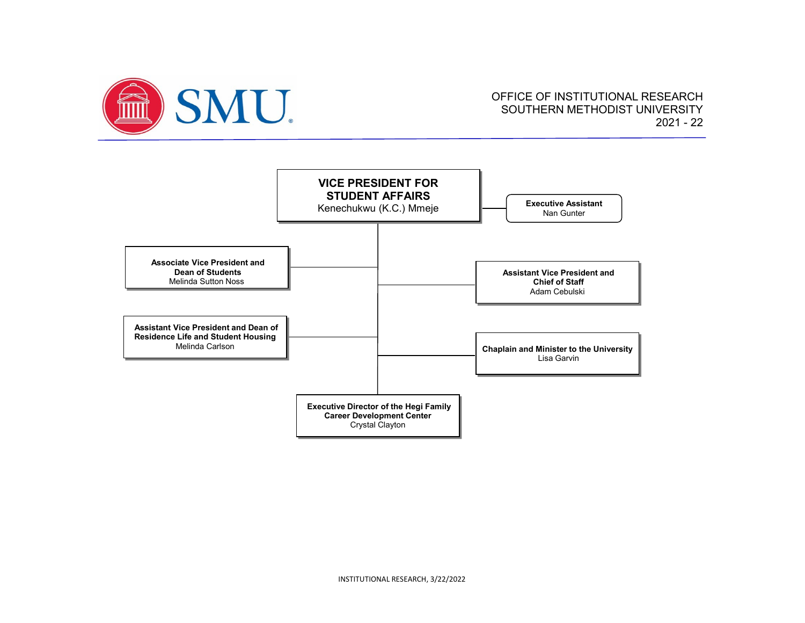

## OFFICE OF INSTITUTIONAL RESEARCH SOUTHERN METHODIST UNIVERSITY 2021 - 22